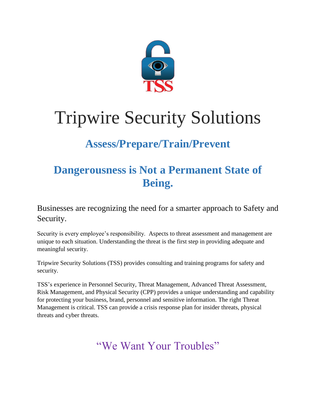

# Tripwire Security Solutions

## **Assess/Prepare/Train/Prevent**

## **Dangerousness is Not a Permanent State of Being.**

Businesses are recognizing the need for a smarter approach to Safety and Security.

Security is every employee's responsibility. Aspects to threat assessment and management are unique to each situation. Understanding the threat is the first step in providing adequate and meaningful security.

Tripwire Security Solutions (TSS) provides consulting and training programs for safety and security.

TSS's experience in Personnel Security, Threat Management, Advanced Threat Assessment, Risk Management, and Physical Security (CPP) provides a unique understanding and capability for protecting your business, brand, personnel and sensitive information. The right Threat Management is critical. TSS can provide a crisis response plan for insider threats, physical threats and cyber threats.

"We Want Your Troubles"